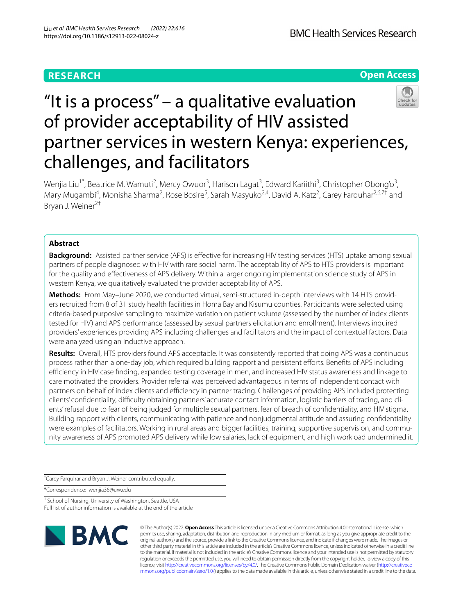# **Open Access**

# "It is a process" – a qualitative evaluation of provider acceptability of HIV assisted partner services in western Kenya: experiences, challenges, and facilitators

Wenjia Liu<sup>1\*</sup>, Beatrice M. Wamuti<sup>2</sup>, Mercy Owuor<sup>3</sup>, Harison Lagat<sup>3</sup>, Edward Kariithi<sup>3</sup>, Christopher Obong'o<sup>3</sup>, Mary Mugambi<sup>4</sup>, Monisha Sharma<sup>2</sup>, Rose Bosire<sup>5</sup>, Sarah Masyuko<sup>2,4</sup>, David A. Katz<sup>2</sup>, Carey Farquhar<sup>2,6,7†</sup> and Bryan J. Weiner<sup>2†</sup>

# **Abstract**

**Background:** Assisted partner service (APS) is efective for increasing HIV testing services (HTS) uptake among sexual partners of people diagnosed with HIV with rare social harm. The acceptability of APS to HTS providers is important for the quality and efectiveness of APS delivery. Within a larger ongoing implementation science study of APS in western Kenya, we qualitatively evaluated the provider acceptability of APS.

**Methods:** From May–June 2020, we conducted virtual, semi-structured in-depth interviews with 14 HTS providers recruited from 8 of 31 study health facilities in Homa Bay and Kisumu counties. Participants were selected using criteria-based purposive sampling to maximize variation on patient volume (assessed by the number of index clients tested for HIV) and APS performance (assessed by sexual partners elicitation and enrollment). Interviews inquired providers' experiences providing APS including challenges and facilitators and the impact of contextual factors. Data were analyzed using an inductive approach.

**Results:** Overall, HTS providers found APS acceptable. It was consistently reported that doing APS was a continuous process rather than a one-day job, which required building rapport and persistent eforts. Benefts of APS including efficiency in HIV case finding, expanded testing coverage in men, and increased HIV status awareness and linkage to care motivated the providers. Provider referral was perceived advantageous in terms of independent contact with partners on behalf of index clients and efficiency in partner tracing. Challenges of providing APS included protecting clients' confdentiality, difculty obtaining partners' accurate contact information, logistic barriers of tracing, and clients' refusal due to fear of being judged for multiple sexual partners, fear of breach of confdentiality, and HIV stigma. Building rapport with clients, communicating with patience and nonjudgmental attitude and assuring confdentiality were examples of facilitators. Working in rural areas and bigger facilities, training, supportive supervision, and community awareness of APS promoted APS delivery while low salaries, lack of equipment, and high workload undermined it.

† Carey Farquhar and Bryan J. Weiner contributed equally.

\*Correspondence: wenjia36@uw.edu

<sup>1</sup> School of Nursing, University of Washington, Seattle, USA Full list of author information is available at the end of the article



© The Author(s) 2022. **Open Access** This article is licensed under a Creative Commons Attribution 4.0 International License, which permits use, sharing, adaptation, distribution and reproduction in any medium or format, as long as you give appropriate credit to the original author(s) and the source, provide a link to the Creative Commons licence, and indicate if changes were made. The images or other third party material in this article are included in the article's Creative Commons licence, unless indicated otherwise in a credit line to the material. If material is not included in the article's Creative Commons licence and your intended use is not permitted by statutory regulation or exceeds the permitted use, you will need to obtain permission directly from the copyright holder. To view a copy of this licence, visit [http://creativecommons.org/licenses/by/4.0/.](http://creativecommons.org/licenses/by/4.0/) The Creative Commons Public Domain Dedication waiver ([http://creativeco](http://creativecommons.org/publicdomain/zero/1.0/) [mmons.org/publicdomain/zero/1.0/](http://creativecommons.org/publicdomain/zero/1.0/)) applies to the data made available in this article, unless otherwise stated in a credit line to the data.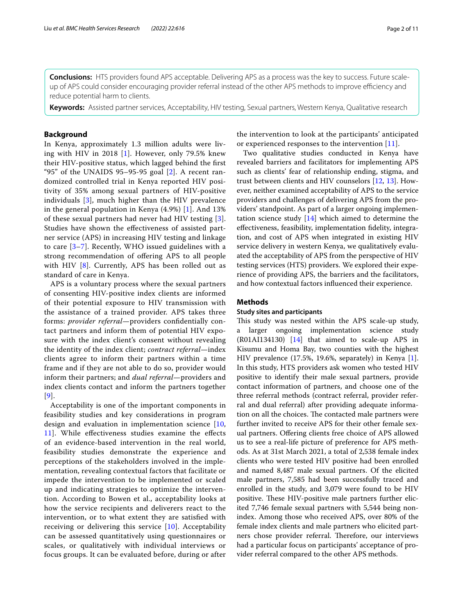**Conclusions:** HTS providers found APS acceptable. Delivering APS as a process was the key to success. Future scaleup of APS could consider encouraging provider referral instead of the other APS methods to improve efficiency and reduce potential harm to clients.

**Keywords:** Assisted partner services, Acceptability, HIV testing, Sexual partners, Western Kenya, Qualitative research

## **Background**

In Kenya, approximately 1.3 million adults were living with HIV in 2018 [[1](#page-9-0)]. However, only 79.5% knew their HIV-positive status, which lagged behind the frst "95" of the UNAIDS 95-95-95 goal  $[2]$  $[2]$ . A recent randomized controlled trial in Kenya reported HIV positivity of 35% among sexual partners of HIV-positive individuals [[3](#page-9-2)], much higher than the HIV prevalence in the general population in Kenya (4.9%) [[1](#page-9-0)]. And 13% of these sexual partners had never had HIV testing [[3\]](#page-9-2). Studies have shown the efectiveness of assisted partner service (APS) in increasing HIV testing and linkage to care [[3–](#page-9-2)[7](#page-9-3)]. Recently, WHO issued guidelines with a strong recommendation of ofering APS to all people with HIV [[8](#page-9-4)]. Currently, APS has been rolled out as standard of care in Kenya.

APS is a voluntary process where the sexual partners of consenting HIV-positive index clients are informed of their potential exposure to HIV transmission with the assistance of a trained provider. APS takes three forms: *provider referral*—providers confdentially contact partners and inform them of potential HIV exposure with the index client's consent without revealing the identity of the index client; *contract referral*—index clients agree to inform their partners within a time frame and if they are not able to do so, provider would inform their partners; and *dual referral*—providers and index clients contact and inform the partners together [[9](#page-9-5)].

Acceptability is one of the important components in feasibility studies and key considerations in program design and evaluation in implementation science [\[10](#page-9-6), [11\]](#page-9-7). While efectiveness studies examine the efects of an evidence-based intervention in the real world, feasibility studies demonstrate the experience and perceptions of the stakeholders involved in the implementation, revealing contextual factors that facilitate or impede the intervention to be implemented or scaled up and indicating strategies to optimize the intervention. According to Bowen et al., acceptability looks at how the service recipients and deliverers react to the intervention, or to what extent they are satisfed with receiving or delivering this service [\[10](#page-9-6)]. Acceptability can be assessed quantitatively using questionnaires or scales, or qualitatively with individual interviews or focus groups. It can be evaluated before, during or after

the intervention to look at the participants' anticipated or experienced responses to the intervention [[11\]](#page-9-7).

Two qualitative studies conducted in Kenya have revealed barriers and facilitators for implementing APS such as clients' fear of relationship ending, stigma, and trust between clients and HIV counselors [\[12](#page-9-8), [13](#page-9-9)]. However, neither examined acceptability of APS to the service providers and challenges of delivering APS from the providers' standpoint. As part of a larger ongoing implementation science study [\[14](#page-9-10)] which aimed to determine the efectiveness, feasibility, implementation fdelity, integration, and cost of APS when integrated in existing HIV service delivery in western Kenya, we qualitatively evaluated the acceptability of APS from the perspective of HIV testing services (HTS) providers. We explored their experience of providing APS, the barriers and the facilitators, and how contextual factors infuenced their experience.

## **Methods**

## **Study sites and participants**

This study was nested within the APS scale-up study, a larger ongoing implementation science study (R01AI134130) [[14](#page-9-10)] that aimed to scale-up APS in Kisumu and Homa Bay, two counties with the highest HIV prevalence (17.5%, 19.6%, separately) in Kenya [\[1](#page-9-0)]. In this study, HTS providers ask women who tested HIV positive to identify their male sexual partners, provide contact information of partners, and choose one of the three referral methods (contract referral, provider referral and dual referral) after providing adequate information on all the choices. The contacted male partners were further invited to receive APS for their other female sexual partners. Ofering clients free choice of APS allowed us to see a real-life picture of preference for APS methods. As at 31st March 2021, a total of 2,538 female index clients who were tested HIV positive had been enrolled and named 8,487 male sexual partners. Of the elicited male partners, 7,585 had been successfully traced and enrolled in the study, and 3,079 were found to be HIV positive. These HIV-positive male partners further elicited 7,746 female sexual partners with 5,544 being nonindex. Among those who received APS, over 80% of the female index clients and male partners who elicited partners chose provider referral. Therefore, our interviews had a particular focus on participants' acceptance of provider referral compared to the other APS methods.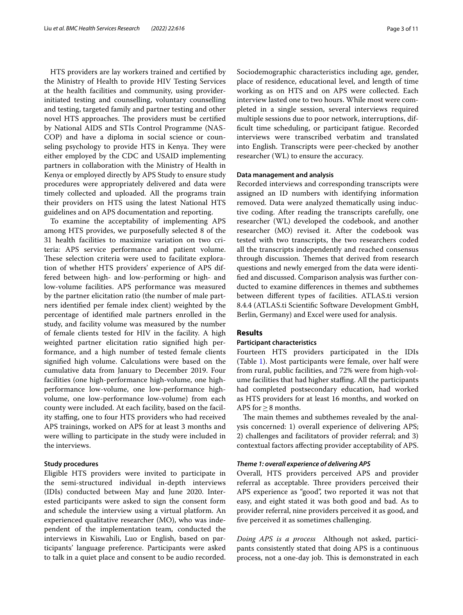HTS providers are lay workers trained and certifed by the Ministry of Health to provide HIV Testing Services at the health facilities and community, using providerinitiated testing and counselling, voluntary counselling and testing, targeted family and partner testing and other novel HTS approaches. The providers must be certified by National AIDS and STIs Control Programme (NAS-COP) and have a diploma in social science or counseling psychology to provide HTS in Kenya. They were either employed by the CDC and USAID implementing partners in collaboration with the Ministry of Health in Kenya or employed directly by APS Study to ensure study procedures were appropriately delivered and data were timely collected and uploaded. All the programs train their providers on HTS using the latest National HTS guidelines and on APS documentation and reporting.

To examine the acceptability of implementing APS among HTS provides, we purposefully selected 8 of the 31 health facilities to maximize variation on two criteria: APS service performance and patient volume. These selection criteria were used to facilitate exploration of whether HTS providers' experience of APS differed between high- and low-performing or high- and low-volume facilities. APS performance was measured by the partner elicitation ratio (the number of male partners identifed per female index client) weighted by the percentage of identifed male partners enrolled in the study, and facility volume was measured by the number of female clients tested for HIV in the facility. A high weighted partner elicitation ratio signifed high performance, and a high number of tested female clients signifed high volume. Calculations were based on the cumulative data from January to December 2019. Four facilities (one high-performance high-volume, one highperformance low-volume, one low-performance highvolume, one low-performance low-volume) from each county were included. At each facility, based on the facility stafng, one to four HTS providers who had received APS trainings, worked on APS for at least 3 months and were willing to participate in the study were included in the interviews.

## **Study procedures**

Eligible HTS providers were invited to participate in the semi-structured individual in-depth interviews (IDIs) conducted between May and June 2020. Interested participants were asked to sign the consent form and schedule the interview using a virtual platform. An experienced qualitative researcher (MO), who was independent of the implementation team, conducted the interviews in Kiswahili, Luo or English, based on participants' language preference. Participants were asked to talk in a quiet place and consent to be audio recorded. Sociodemographic characteristics including age, gender, place of residence, educational level, and length of time working as on HTS and on APS were collected. Each interview lasted one to two hours. While most were completed in a single session, several interviews required multiple sessions due to poor network, interruptions, diffcult time scheduling, or participant fatigue. Recorded interviews were transcribed verbatim and translated into English. Transcripts were peer-checked by another researcher (WL) to ensure the accuracy.

## **Data management and analysis**

Recorded interviews and corresponding transcripts were assigned an ID numbers with identifying information removed. Data were analyzed thematically using inductive coding. After reading the transcripts carefully, one researcher (WL) developed the codebook, and another researcher (MO) revised it. After the codebook was tested with two transcripts, the two researchers coded all the transcripts independently and reached consensus through discussion. Themes that derived from research questions and newly emerged from the data were identifed and discussed. Comparison analysis was further conducted to examine diferences in themes and subthemes between diferent types of facilities. ATLAS.ti version 8.4.4 (ATLAS.ti Scientifc Software Development GmbH, Berlin, Germany) and Excel were used for analysis.

## **Results**

## **Participant characteristics**

Fourteen HTS providers participated in the IDIs (Table [1](#page-3-0)). Most participants were female, over half were from rural, public facilities, and 72% were from high-volume facilities that had higher staffing. All the participants had completed postsecondary education, had worked as HTS providers for at least 16 months, and worked on APS for≥8 months.

The main themes and subthemes revealed by the analysis concerned: 1) overall experience of delivering APS; 2) challenges and facilitators of provider referral; and 3) contextual factors afecting provider acceptability of APS.

## *Theme 1: overall experience of delivering APS*

Overall, HTS providers perceived APS and provider referral as acceptable. Three providers perceived their APS experience as "good", two reported it was not that easy, and eight stated it was both good and bad. As to provider referral, nine providers perceived it as good, and fve perceived it as sometimes challenging.

*Doing APS is a process* Although not asked, participants consistently stated that doing APS is a continuous process, not a one-day job. This is demonstrated in each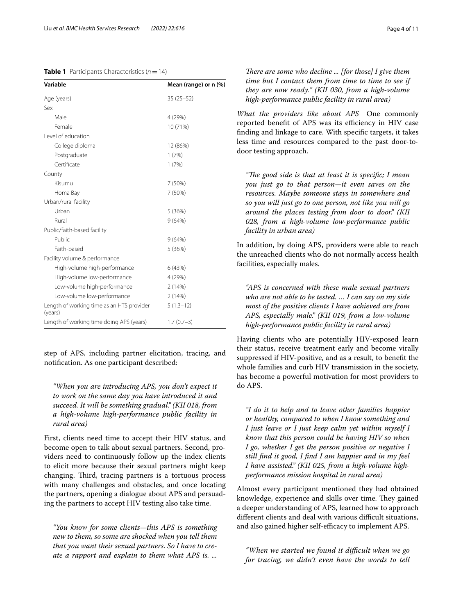## <span id="page-3-0"></span>**Table 1** Participants Characteristics  $(n=14)$

| Variable                                             | Mean (range) or n (%) |
|------------------------------------------------------|-----------------------|
| Age (years)                                          | $35(25-52)$           |
| Sex                                                  |                       |
| Male                                                 | 4 (29%)               |
| Female                                               | 10 (71%)              |
| Level of education                                   |                       |
| College diploma                                      | 12 (86%)              |
| Postgraduate                                         | 1(7%)                 |
| Certificate                                          | 1(7%)                 |
| County                                               |                       |
| Kisumu                                               | 7 (50%)               |
| Homa Bay                                             | 7 (50%)               |
| Urban/rural facility                                 |                       |
| Urban                                                | 5(36%)                |
| Rural                                                | 9(64%)                |
| Public/faith-based facility                          |                       |
| Public                                               | 9(64%)                |
| Faith-based                                          | 5(36%)                |
| Facility volume & performance                        |                       |
| High-volume high-performance                         | 6 (43%)               |
| High-volume low-performance                          | 4 (29%)               |
| Low-volume high-performance                          | 2(14%)                |
| Low-volume low-performance                           | 2(14%)                |
| Length of working time as an HTS provider<br>(years) | $5(1.3-12)$           |
| Length of working time doing APS (years)             | $1.7(0.7-3)$          |

step of APS, including partner elicitation, tracing, and notifcation. As one participant described:

*"When you are introducing APS, you don't expect it to work on the same day you have introduced it and succeed. It will be something gradual." (KII 018, from a high-volume high-performance public facility in rural area)*

First, clients need time to accept their HIV status, and become open to talk about sexual partners. Second, providers need to continuously follow up the index clients to elicit more because their sexual partners might keep changing. Third, tracing partners is a tortuous process with many challenges and obstacles, and once locating the partners, opening a dialogue about APS and persuading the partners to accept HIV testing also take time.

*"You know for some clients—this APS is something new to them, so some are shocked when you tell them that you want their sexual partners. So I have to create a rapport and explain to them what APS is. ...* 

*What the providers like about APS* One commonly reported benefit of APS was its efficiency in HIV case fnding and linkage to care. With specifc targets, it takes less time and resources compared to the past door-todoor testing approach.

"The good side is that at least it is specific; I mean *you just go to that person—it even saves on the resources. Maybe someone stays in somewhere and so you will just go to one person, not like you will go around the places testing from door to door." (KII 028, from a high-volume low-performance public facility in urban area)*

In addition, by doing APS, providers were able to reach the unreached clients who do not normally access health facilities, especially males.

*"APS is concerned with these male sexual partners who are not able to be tested. … I can say on my side most of the positive clients I have achieved are from APS, especially male." (KII 019, from a low-volume high-performance public facility in rural area)*

Having clients who are potentially HIV-exposed learn their status, receive treatment early and become virally suppressed if HIV-positive, and as a result, to beneft the whole families and curb HIV transmission in the society, has become a powerful motivation for most providers to do APS.

*"I do it to help and to leave other families happier or healthy, compared to when I know something and I just leave or I just keep calm yet within myself I know that this person could be having HIV so when I go, whether I get the person positive or negative I still fnd it good, I fnd I am happier and in my feel I have assisted." (KII 025, from a high-volume highperformance mission hospital in rural area)*

Almost every participant mentioned they had obtained knowledge, experience and skills over time. They gained a deeper understanding of APS, learned how to approach different clients and deal with various difficult situations, and also gained higher self-efficacy to implement APS.

*"When we started we found it difcult when we go for tracing, we didn't even have the words to tell*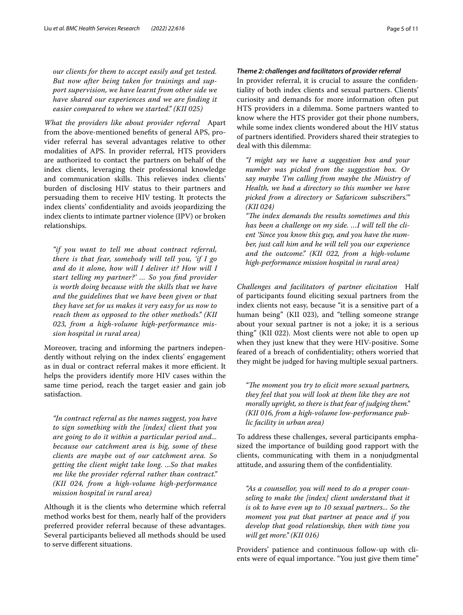*our clients for them to accept easily and get tested. But now after being taken for trainings and support supervision, we have learnt from other side we have shared our experiences and we are fnding it easier compared to when we started." (KII 025)*

*What the providers like about provider referral* Apart from the above-mentioned benefts of general APS, provider referral has several advantages relative to other modalities of APS. In provider referral, HTS providers are authorized to contact the partners on behalf of the index clients, leveraging their professional knowledge and communication skills. This relieves index clients' burden of disclosing HIV status to their partners and persuading them to receive HIV testing. It protects the index clients' confdentiality and avoids jeopardizing the index clients to intimate partner violence (IPV) or broken relationships.

*"if you want to tell me about contract referral, there is that fear, somebody will tell you, 'if I go and do it alone, how will I deliver it? How will I start telling my partner?' … So you fnd provider is worth doing because with the skills that we have and the guidelines that we have been given or that they have set for us makes it very easy for us now to reach them as opposed to the other methods." (KII 023, from a high-volume high-performance mission hospital in rural area)*

Moreover, tracing and informing the partners independently without relying on the index clients' engagement as in dual or contract referral makes it more efficient. It helps the providers identify more HIV cases within the same time period, reach the target easier and gain job satisfaction.

*"In contract referral as the names suggest, you have to sign something with the [index] client that you are going to do it within a particular period and... because our catchment area is big, some of these clients are maybe out of our catchment area. So getting the client might take long. ...So that makes me like the provider referral rather than contract." (KII 024, from a high-volume high-performance mission hospital in rural area)*

Although it is the clients who determine which referral method works best for them, nearly half of the providers preferred provider referral because of these advantages. Several participants believed all methods should be used to serve diferent situations.

## *Theme 2: challenges and facilitators of provider referral*

In provider referral, it is crucial to assure the confdentiality of both index clients and sexual partners. Clients' curiosity and demands for more information often put HTS providers in a dilemma. Some partners wanted to know where the HTS provider got their phone numbers, while some index clients wondered about the HIV status of partners identifed. Providers shared their strategies to deal with this dilemma:

*"I might say we have a suggestion box and your number was picked from the suggestion box. Or say maybe 'I'm calling from maybe the Ministry of Health, we had a directory so this number we have picked from a directory or Safaricom subscribers.'" (KII 024)*

"The index demands the results sometimes and this *has been a challenge on my side. …I will tell the client 'Since you know this guy, and you have the number, just call him and he will tell you our experience and the outcome." (KII 022, from a high-volume high-performance mission hospital in rural area)*

*Challenges and facilitators of partner elicitation* Half of participants found eliciting sexual partners from the index clients not easy, because "it is a sensitive part of a human being" (KII 023), and "telling someone strange about your sexual partner is not a joke; it is a serious thing" (KII 022). Most clients were not able to open up when they just knew that they were HIV-positive. Some feared of a breach of confdentiality; others worried that they might be judged for having multiple sexual partners.

"The moment you try to elicit more sexual partners, *they feel that you will look at them like they are not morally upright, so there is that fear of judging them." (KII 016, from a high-volume low-performance public facility in urban area)*

To address these challenges, several participants emphasized the importance of building good rapport with the clients, communicating with them in a nonjudgmental attitude, and assuring them of the confdentiality.

*"As a counsellor, you will need to do a proper counseling to make the [index] client understand that it is ok to have even up to 10 sexual partners... So the moment you put that partner at peace and if you develop that good relationship, then with time you will get more." (KII 016)*

Providers' patience and continuous follow-up with clients were of equal importance. "You just give them time"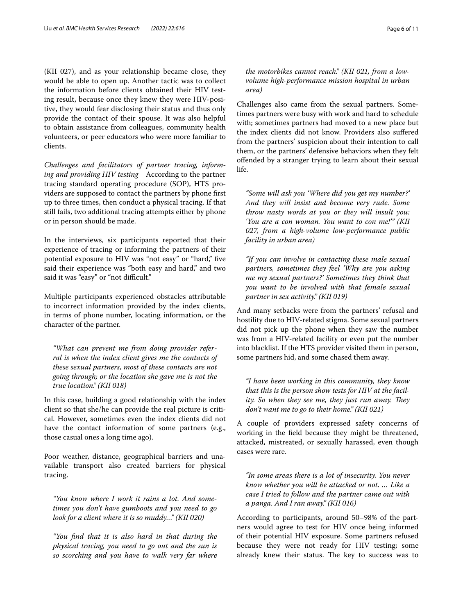(KII 027), and as your relationship became close, they would be able to open up. Another tactic was to collect the information before clients obtained their HIV testing result, because once they knew they were HIV-positive, they would fear disclosing their status and thus only provide the contact of their spouse. It was also helpful to obtain assistance from colleagues, community health volunteers, or peer educators who were more familiar to clients.

*Challenges and facilitators of partner tracing, informing and providing HIV testing* According to the partner tracing standard operating procedure (SOP), HTS providers are supposed to contact the partners by phone frst up to three times, then conduct a physical tracing. If that still fails, two additional tracing attempts either by phone or in person should be made.

In the interviews, six participants reported that their experience of tracing or informing the partners of their potential exposure to HIV was "not easy" or "hard," five said their experience was "both easy and hard," and two said it was "easy" or "not difficult."

Multiple participants experienced obstacles attributable to incorrect information provided by the index clients, in terms of phone number, locating information, or the character of the partner.

*"What can prevent me from doing provider referral is when the index client gives me the contacts of these sexual partners, most of these contacts are not going through; or the location she gave me is not the true location." (KII 018)*

In this case, building a good relationship with the index client so that she/he can provide the real picture is critical. However, sometimes even the index clients did not have the contact information of some partners (e.g., those casual ones a long time ago).

Poor weather, distance, geographical barriers and unavailable transport also created barriers for physical tracing.

*"You know where I work it rains a lot. And sometimes you don't have gumboots and you need to go look for a client where it is so muddy…" (KII 020)*

*"You fnd that it is also hard in that during the physical tracing, you need to go out and the sun is so scorching and you have to walk very far where*  *the motorbikes cannot reach." (KII 021, from a lowvolume high-performance mission hospital in urban area)*

Challenges also came from the sexual partners. Sometimes partners were busy with work and hard to schedule with; sometimes partners had moved to a new place but the index clients did not know. Providers also sufered from the partners' suspicion about their intention to call them, or the partners' defensive behaviors when they felt ofended by a stranger trying to learn about their sexual life.

*"Some will ask you 'Where did you get my number?' And they will insist and become very rude. Some throw nasty words at you or they will insult you: 'You are a con woman. You want to con me!'" (KII 027, from a high-volume low-performance public facility in urban area)*

*"If you can involve in contacting these male sexual partners, sometimes they feel 'Why are you asking me my sexual partners?' Sometimes they think that you want to be involved with that female sexual partner in sex activity." (KII 019)*

And many setbacks were from the partners' refusal and hostility due to HIV-related stigma. Some sexual partners did not pick up the phone when they saw the number was from a HIV-related facility or even put the number into blacklist. If the HTS provider visited them in person, some partners hid, and some chased them away.

*"I have been working in this community, they know that this is the person show tests for HIV at the facility.* So when they see me, they just run away. They *don't want me to go to their home." (KII 021)*

A couple of providers expressed safety concerns of working in the feld because they might be threatened, attacked, mistreated, or sexually harassed, even though cases were rare.

*"In some areas there is a lot of insecurity. You never know whether you will be attacked or not. … Like a case I tried to follow and the partner came out with a panga. And I ran away." (KII 016)*

According to participants, around 50–98% of the partners would agree to test for HIV once being informed of their potential HIV exposure. Some partners refused because they were not ready for HIV testing; some already knew their status. The key to success was to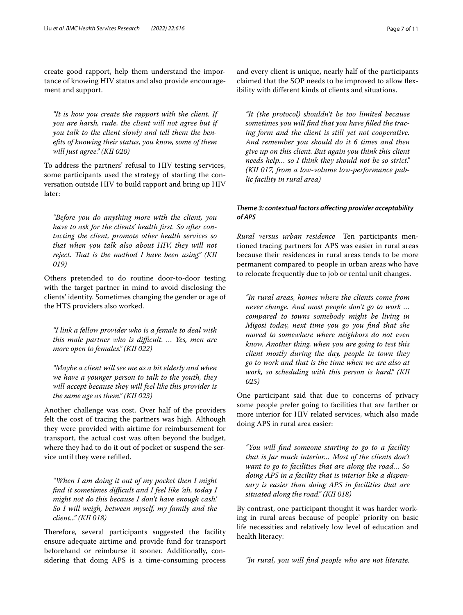create good rapport, help them understand the importance of knowing HIV status and also provide encouragement and support.

*"It is how you create the rapport with the client. If you are harsh, rude, the client will not agree but if you talk to the client slowly and tell them the benefts of knowing their status, you know, some of them will just agree." (KII 020)*

To address the partners' refusal to HIV testing services, some participants used the strategy of starting the conversation outside HIV to build rapport and bring up HIV later:

*"Before you do anything more with the client, you have to ask for the clients' health frst. So after contacting the client, promote other health services so that when you talk also about HIV, they will not reject. Tat is the method I have been using." (KII 019)*

Others pretended to do routine door-to-door testing with the target partner in mind to avoid disclosing the clients' identity. Sometimes changing the gender or age of the HTS providers also worked.

*"I link a fellow provider who is a female to deal with this male partner who is difcult. … Yes, men are more open to females." (KII 022)*

*"Maybe a client will see me as a bit elderly and when we have a younger person to talk to the youth, they will accept because they will feel like this provider is the same age as them." (KII 023)*

Another challenge was cost. Over half of the providers felt the cost of tracing the partners was high. Although they were provided with airtime for reimbursement for transport, the actual cost was often beyond the budget, where they had to do it out of pocket or suspend the service until they were reflled.

*"When I am doing it out of my pocket then I might fnd it sometimes difcult and I feel like 'ah, today I might not do this because I don't have enough cash.' So I will weigh, between myself, my family and the client..." (KII 018)*

Therefore, several participants suggested the facility ensure adequate airtime and provide fund for transport beforehand or reimburse it sooner. Additionally, considering that doing APS is a time-consuming process and every client is unique, nearly half of the participants claimed that the SOP needs to be improved to allow fexibility with diferent kinds of clients and situations.

*"It (the protocol) shouldn't be too limited because sometimes you will fnd that you have flled the tracing form and the client is still yet not cooperative. And remember you should do it 6 times and then give up on this client. But again you think this client needs help… so I think they should not be so strict." (KII 017, from a low-volume low-performance public facility in rural area)*

## *Theme 3: contextual factors afecting provider acceptability of APS*

*Rural versus urban residence* Ten participants mentioned tracing partners for APS was easier in rural areas because their residences in rural areas tends to be more permanent compared to people in urban areas who have to relocate frequently due to job or rental unit changes.

*"In rural areas, homes where the clients come from never change. And most people don't go to work … compared to towns somebody might be living in Migosi today, next time you go you fnd that she moved to somewhere where neighbors do not even know. Another thing, when you are going to test this client mostly during the day, people in town they go to work and that is the time when we are also at work, so scheduling with this person is hard." (KII 025)*

One participant said that due to concerns of privacy some people prefer going to facilities that are farther or more interior for HIV related services, which also made doing APS in rural area easier:

*"You will fnd someone starting to go to a facility that is far much interior… Most of the clients don't want to go to facilities that are along the road… So doing APS in a facility that is interior like a dispensary is easier than doing APS in facilities that are situated along the road." (KII 018)*

By contrast, one participant thought it was harder working in rural areas because of people' priority on basic life necessities and relatively low level of education and health literacy:

*"In rural, you will fnd people who are not literate.*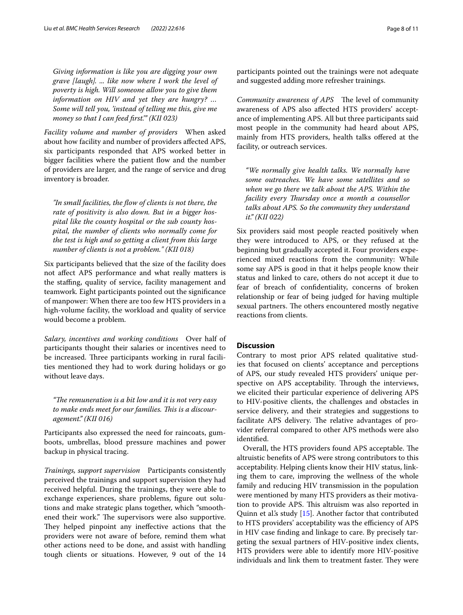*Giving information is like you are digging your own grave [laugh]. ... like now where I work the level of poverty is high. Will someone allow you to give them information on HIV and yet they are hungry? … Some will tell you, 'instead of telling me this, give me money so that I can feed frst.'" (KII 023)*

*Facility volume and number of providers* When asked about how facility and number of providers afected APS, six participants responded that APS worked better in bigger facilities where the patient flow and the number of providers are larger, and the range of service and drug inventory is broader.

*"In small facilities, the fow of clients is not there, the rate of positivity is also down. But in a bigger hospital like the county hospital or the sub county hospital, the number of clients who normally come for the test is high and so getting a client from this large number of clients is not a problem." (KII 018)*

Six participants believed that the size of the facility does not afect APS performance and what really matters is the stafng, quality of service, facility management and teamwork*.* Eight participants pointed out the signifcance of manpower: When there are too few HTS providers in a high-volume facility, the workload and quality of service would become a problem.

*Salary, incentives and working conditions* Over half of participants thought their salaries or incentives need to be increased. Three participants working in rural facilities mentioned they had to work during holidays or go without leave days.

*"The remuneration is a bit low and it is not very easy* to make ends meet for our families. This is a discour*agement." (KII 016)*

Participants also expressed the need for raincoats, gumboots, umbrellas, blood pressure machines and power backup in physical tracing.

*Trainings, support supervision* Participants consistently perceived the trainings and support supervision they had received helpful. During the trainings, they were able to exchange experiences, share problems, fgure out solutions and make strategic plans together, which "smoothened their work." The supervisors were also supportive. They helped pinpoint any ineffective actions that the providers were not aware of before, remind them what other actions need to be done, and assist with handling tough clients or situations. However, 9 out of the 14 participants pointed out the trainings were not adequate and suggested adding more refresher trainings.

*Community awareness of APS* The level of community awareness of APS also afected HTS providers' acceptance of implementing APS. All but three participants said most people in the community had heard about APS, mainly from HTS providers, health talks offered at the facility, or outreach services.

*"We normally give health talks. We normally have some outreaches. We have some satellites and so when we go there we talk about the APS. Within the facility every Tursday once a month a counsellor talks about APS. So the community they understand it." (KII 022)*

Six providers said most people reacted positively when they were introduced to APS, or they refused at the beginning but gradually accepted it. Four providers experienced mixed reactions from the community: While some say APS is good in that it helps people know their status and linked to care, others do not accept it due to fear of breach of confdentiality, concerns of broken relationship or fear of being judged for having multiple sexual partners. The others encountered mostly negative reactions from clients.

## **Discussion**

Contrary to most prior APS related qualitative studies that focused on clients' acceptance and perceptions of APS, our study revealed HTS providers' unique perspective on APS acceptability. Through the interviews, we elicited their particular experience of delivering APS to HIV-positive clients, the challenges and obstacles in service delivery, and their strategies and suggestions to facilitate APS delivery. The relative advantages of provider referral compared to other APS methods were also identifed.

Overall, the HTS providers found APS acceptable. The altruistic benefts of APS were strong contributors to this acceptability. Helping clients know their HIV status, linking them to care, improving the wellness of the whole family and reducing HIV transmission in the population were mentioned by many HTS providers as their motivation to provide APS. This altruism was also reported in Quinn et al's study  $[15]$  $[15]$ . Another factor that contributed to HTS providers' acceptability was the efficiency of APS in HIV case fnding and linkage to care. By precisely targeting the sexual partners of HIV-positive index clients, HTS providers were able to identify more HIV-positive individuals and link them to treatment faster. They were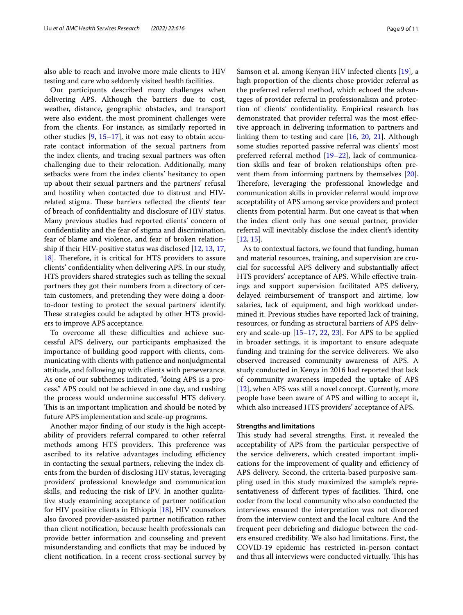also able to reach and involve more male clients to HIV testing and care who seldomly visited health facilities.

Our participants described many challenges when delivering APS. Although the barriers due to cost, weather, distance, geographic obstacles, and transport were also evident, the most prominent challenges were from the clients. For instance, as similarly reported in other studies  $[9, 15-17]$  $[9, 15-17]$  $[9, 15-17]$  $[9, 15-17]$  $[9, 15-17]$ , it was not easy to obtain accurate contact information of the sexual partners from the index clients, and tracing sexual partners was often challenging due to their relocation. Additionally, many setbacks were from the index clients' hesitancy to open up about their sexual partners and the partners' refusal and hostility when contacted due to distrust and HIVrelated stigma. These barriers reflected the clients' fear of breach of confdentiality and disclosure of HIV status. Many previous studies had reported clients' concern of confdentiality and the fear of stigma and discrimination, fear of blame and violence, and fear of broken relationship if their HIV-positive status was disclosed [\[12](#page-9-8), [13,](#page-9-9) [17](#page-10-0), [18\]](#page-10-1). Therefore, it is critical for HTS providers to assure clients' confdentiality when delivering APS. In our study, HTS providers shared strategies such as telling the sexual partners they got their numbers from a directory of certain customers, and pretending they were doing a doorto-door testing to protect the sexual partners' identify. These strategies could be adapted by other HTS providers to improve APS acceptance.

To overcome all these difficulties and achieve successful APS delivery, our participants emphasized the importance of building good rapport with clients, communicating with clients with patience and nonjudgmental attitude, and following up with clients with perseverance. As one of our subthemes indicated, "doing APS is a process." APS could not be achieved in one day, and rushing the process would undermine successful HTS delivery. This is an important implication and should be noted by future APS implementation and scale-up programs.

Another major fnding of our study is the high acceptability of providers referral compared to other referral methods among HTS providers. This preference was ascribed to its relative advantages including efficiency in contacting the sexual partners, relieving the index clients from the burden of disclosing HIV status, leveraging providers' professional knowledge and communication skills, and reducing the risk of IPV. In another qualitative study examining acceptance of partner notifcation for HIV positive clients in Ethiopia [[18\]](#page-10-1), HIV counselors also favored provider-assisted partner notifcation rather than client notifcation, because health professionals can provide better information and counseling and prevent misunderstanding and conficts that may be induced by client notifcation. In a recent cross-sectional survey by Samson et al. among Kenyan HIV infected clients [\[19\]](#page-10-2), a high proportion of the clients chose provider referral as the preferred referral method, which echoed the advantages of provider referral in professionalism and protection of clients' confdentiality. Empirical research has demonstrated that provider referral was the most efective approach in delivering information to partners and linking them to testing and care [[16,](#page-10-3) [20,](#page-10-4) [21\]](#page-10-5). Although some studies reported passive referral was clients' most preferred referral method [[19](#page-10-2)[–22](#page-10-6)], lack of communication skills and fear of broken relationships often prevent them from informing partners by themselves [\[20](#page-10-4)]. Therefore, leveraging the professional knowledge and communication skills in provider referral would improve acceptability of APS among service providers and protect clients from potential harm. But one caveat is that when the index client only has one sexual partner, provider referral will inevitably disclose the index client's identity [[12,](#page-9-8) [15](#page-9-11)].

As to contextual factors, we found that funding, human and material resources, training, and supervision are crucial for successful APS delivery and substantially afect HTS providers' acceptance of APS. While efective trainings and support supervision facilitated APS delivery, delayed reimbursement of transport and airtime, low salaries, lack of equipment, and high workload undermined it. Previous studies have reported lack of training, resources, or funding as structural barriers of APS delivery and scale-up [\[15](#page-9-11)[–17](#page-10-0), [22](#page-10-6), [23\]](#page-10-7). For APS to be applied in broader settings, it is important to ensure adequate funding and training for the service deliverers. We also observed increased community awareness of APS. A study conducted in Kenya in 2016 had reported that lack of community awareness impeded the uptake of APS [[12\]](#page-9-8), when APS was still a novel concept. Currently, more people have been aware of APS and willing to accept it, which also increased HTS providers' acceptance of APS.

## **Strengths and limitations**

This study had several strengths. First, it revealed the acceptability of APS from the particular perspective of the service deliverers, which created important implications for the improvement of quality and efficiency of APS delivery. Second, the criteria-based purposive sampling used in this study maximized the sample's representativeness of different types of facilities. Third, one coder from the local community who also conducted the interviews ensured the interpretation was not divorced from the interview context and the local culture. And the frequent peer debriefng and dialogue between the coders ensured credibility. We also had limitations. First, the COVID-19 epidemic has restricted in-person contact and thus all interviews were conducted virtually. This has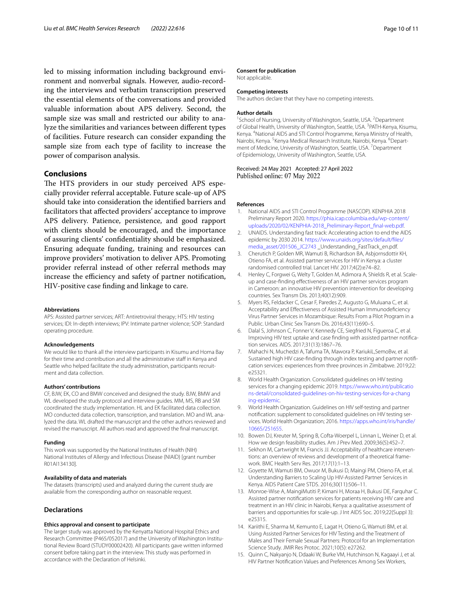led to missing information including background environment and nonverbal signals. However, audio-recording the interviews and verbatim transcription preserved the essential elements of the conversations and provided valuable information about APS delivery. Second, the sample size was small and restricted our ability to analyze the similarities and variances between diferent types of facilities. Future research can consider expanding the sample size from each type of facility to increase the power of comparison analysis.

## **Conclusions**

The HTS providers in our study perceived APS especially provider referral acceptable. Future scale-up of APS should take into consideration the identifed barriers and facilitators that afected providers' acceptance to improve APS delivery. Patience, persistence, and good rapport with clients should be encouraged, and the importance of assuring clients' confdentiality should be emphasized. Ensuring adequate funding, training and resources can improve providers' motivation to deliver APS. Promoting provider referral instead of other referral methods may increase the efficiency and safety of partner notification, HIV-positive case fnding and linkage to care.

#### **Abbreviations**

APS: Assisted partner services; ART: Antiretroviral therapy; HTS: HIV testing services; IDI: In-depth interviews; IPV: Intimate partner violence; SOP: Standard operating procedure.

#### **Acknowledgements**

We would like to thank all the interview participants in Kisumu and Homa Bay for their time and contribution and all the administrative staff in Kenya and Seattle who helped facilitate the study administration, participants recruitment and data collection.

## **Authors' contributions**

CF, BJW, EK, CO and BMW conceived and designed the study. BJW, BMW and WL developed the study protocol and interview guides. MM, MS, RB and SM coordinated the study implementation. HL and EK facilitated data collection. MO conducted data collection, transcription, and translation. MO and WL analyzed the data. WL drafted the manuscript and the other authors reviewed and revised the manuscript. All authors read and approved the fnal manuscript.

#### **Funding**

This work was supported by the National Institutes of Health (NIH) National Institutes of Allergy and Infectious Disease (NIAID) [grant number R01AI134130].

## **Availability of data and materials**

The datasets (transcripts) used and analyzed during the current study are available from the corresponding author on reasonable request.

## **Declarations**

## **Ethics approval and consent to participate**

The larger study was approved by the Kenyatta National Hospital Ethics and Research Committee (P465/052017) and the University of Washington Institutional Review Board (STUDY00002420). All participants gave written informed consent before taking part in the interview. This study was performed in accordance with the Declaration of Helsinki.

## **Consent for publication**

Not applicable.

## **Competing interests**

The authors declare that they have no competing interests.

#### **Author details**

<sup>1</sup> School of Nursing, University of Washington, Seattle, USA. <sup>2</sup> Department of Global Health, University of Washington, Seattle, USA. <sup>3</sup>PATH-Kenya, Kisumu, Kenya. <sup>4</sup> National AIDS and STI Control Programme, Kenya Ministry of Health, Nairobi, Kenya. <sup>5</sup> Kenya Medical Research Institute, Nairobi, Kenya. <sup>6</sup> Department of Medicine, University of Washington, Seattle, USA.<sup>7</sup> Department of Epidemiology, University of Washington, Seattle, USA.

Received: 24 May 2021 Accepted: 27 April 2022 Published online: 07 May 2022

#### **References**

- <span id="page-9-0"></span>1. National AIDS and STI Control Programme (NASCOP). KENPHIA 2018 Preliminary Report 2020. [https://phia.icap.columbia.edu/wp-content/](https://phia.icap.columbia.edu/wp-content/uploads/2020/02/KENPHIA-2018_Preliminary-Report_final-web.pdf) [uploads/2020/02/KENPHIA-2018\\_Preliminary-Report\\_fnal-web.pdf](https://phia.icap.columbia.edu/wp-content/uploads/2020/02/KENPHIA-2018_Preliminary-Report_final-web.pdf).
- <span id="page-9-1"></span>2. UNAIDS. Understanding fast track: Accelerating action to end the AIDS epidemic by 2030 2014. [https://www.unaids.org/sites/default/fles/](https://www.unaids.org/sites/default/files/media_asset/201506_JC2743) [media\\_asset/201506\\_JC2743](https://www.unaids.org/sites/default/files/media_asset/201506_JC2743) \_Understanding\_FastTrack\_en.pdf.
- <span id="page-9-2"></span>3. Cherutich P, Golden MR, Wamuti B, Richardson BA, Asbjornsdottir KH, Otieno FA, et al. Assisted partner services for HIV in Kenya: a cluster randomised controlled trial. Lancet HIV. 2017;4(2):e74–82.
- Henley C, Forgwei G, Welty T, Golden M, Adimora A, Shields R, et al. Scaleup and case-fnding efectiveness of an HIV partner services program in Cameroon: an innovative HIV prevention intervention for developing countries. Sex Transm Dis. 2013;40(12):909.
- 5. Myers RS, Feldacker C, Cesar F, Paredes Z, Augusto G, Muluana C, et al. Acceptability and Efectiveness of Assisted Human Immunodefciency Virus Partner Services in Mozambique: Results From a Pilot Program in a Public. Urban Clinic Sex Transm Dis. 2016;43(11):690–5.
- 6. Dalal S, Johnson C, Fonner V, Kennedy CE, Siegfried N, Figueroa C, et al. Improving HIV test uptake and case fnding with assisted partner notifcation services. AIDS. 2017;31(13):1867–76.
- <span id="page-9-3"></span>7. Mahachi N, Muchedzi A, Tafuma TA, Mawora P, KariukiL,SemoBw, et al. Sustained high HIV case-fnding through index testing and partner notifcation services: experiences from three provinces in Zimbabwe. 2019;22: e25321.
- <span id="page-9-4"></span>8. World Health Organization. Consolidated guidelines on HIV testing services for a changing epidemic 2019. [https://www.who.int/publicatio](https://www.who.int/publications-detail/consolidated-guidelines-on-hiv-testing-services-for-a-changing-epidemic) [ns-detail/consolidated-guidelines-on-hiv-testing-services-for-a-chang](https://www.who.int/publications-detail/consolidated-guidelines-on-hiv-testing-services-for-a-changing-epidemic) [ing-epidemic.](https://www.who.int/publications-detail/consolidated-guidelines-on-hiv-testing-services-for-a-changing-epidemic)
- <span id="page-9-5"></span>9. World Health Organization. Guidelines on HIV self-testing and partner notifcation: supplement to consolidated guidelines on HIV testing services. World Health Organization; 2016. [https://apps.who.int/iris/handle/](https://apps.who.int/iris/handle/10665/251655) [10665/251655.](https://apps.who.int/iris/handle/10665/251655)
- <span id="page-9-6"></span>10. Bowen DJ, Kreuter M, Spring B, Cofta-Woerpel L, Linnan L, Weiner D, et al. How we design feasibility studies. Am J Prev Med. 2009;36(5):452–7.
- <span id="page-9-7"></span>11. Sekhon M, Cartwright M, Francis JJ. Acceptability of healthcare interventions: an overview of reviews and development of a theoretical framework. BMC Health Serv Res. 2017;17(1):1–13.
- <span id="page-9-8"></span>12. Goyette M, Wamuti BM, Owuor M, Bukusi D, Maingi PM, Otieno FA, et al. Understanding Barriers to Scaling Up HIV-Assisted Partner Services in Kenya. AIDS Patient Care STDS. 2016;30(11):506–11.
- <span id="page-9-9"></span>13. Monroe-Wise A, MaingiMutiti P, Kimani H, Moraa H, Bukusi DE, Farquhar C. Assisted partner notifcation services for patients receiving HIV care and treatment in an HIV clinic in Nairobi, Kenya: a qualitative assessment of barriers and opportunities for scale-up. J Int AIDS Soc. 2019;22(Suppl 3): e25315.
- <span id="page-9-10"></span>14. Kariithi E, Sharma M, Kemunto E, Lagat H, Otieno G, Wamuti BM, et al. Using Assisted Partner Services for HIV Testing and the Treatment of Males and Their Female Sexual Partners: Protocol for an Implementation Science Study. JMIR Res Protoc. 2021;10(5): e27262.
- <span id="page-9-11"></span>15. Quinn C, Nakyanjo N, Ddaaki W, Burke VM, Hutchinson N, Kagaayi J, et al. HIV Partner Notifcation Values and Preferences Among Sex Workers,